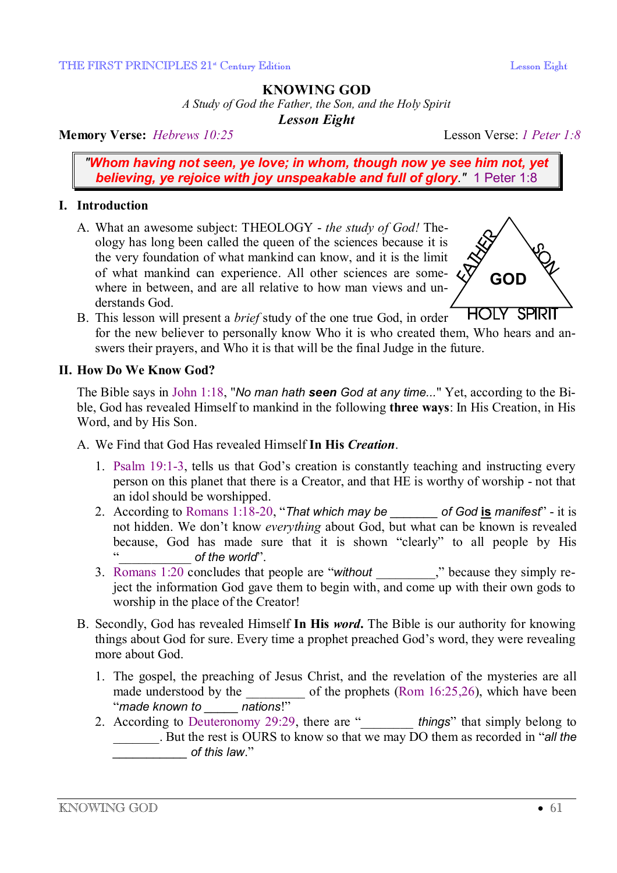# **KNOWING GOD**

*A Study of God the Father, the Son, and the Holy Spirit* 

*Lesson Eight* 

**Memory Verse:** *Hebrews 10:25* Lesson Verse: *1 Peter 1:8*

*"Whom having not seen, ye love; in whom, though now ye see him not, yet believing, ye rejoice with joy unspeakable and full of glory."* 1 Peter 1:8

## **I. Introduction**

A. What an awesome subject: THEOLOGY - *the study of God!* Theology has long been called the queen of the sciences because it is the very foundation of what mankind can know, and it is the limit of what mankind can experience. All other sciences are somewhere in between, and are all relative to how man views and understands God.



**HOLY SPIRIT** B. This lesson will present a *brief* study of the one true God, in order for the new believer to personally know Who it is who created them, Who hears and answers their prayers, and Who it is that will be the final Judge in the future.

## **II. How Do We Know God?**

The Bible says in John 1:18, "*No man hath seen God at any time...*" Yet, according to the Bible, God has revealed Himself to mankind in the following **three ways**: In His Creation, in His Word, and by His Son.

- A. We Find that God Has revealed Himself **In His** *Creation*.
	- 1. Psalm 19:1-3, tells us that God's creation is constantly teaching and instructing every person on this planet that there is a Creator, and that HE is worthy of worship - not that an idol should be worshipped.
	- 2. According to Romans 1:18-20, "*That which may be \_\_\_\_\_\_\_ of God* **is** *manifest*" it is not hidden. We don't know *everything* about God, but what can be known is revealed because, God has made sure that it is shown "clearly" to all people by His of the world".
	- 3. Romans 1:20 concludes that people are "*without*" because they simply reject the information God gave them to begin with, and come up with their own gods to worship in the place of the Creator!
- B. Secondly, God has revealed Himself **In His** *word***.** The Bible is our authority for knowing things about God for sure. Every time a prophet preached God's word, they were revealing more about God.
	- 1. The gospel, the preaching of Jesus Christ, and the revelation of the mysteries are all made understood by the \_\_\_\_\_\_\_\_\_\_\_ of the prophets (Rom 16:25,26), which have been "*made known to \_\_\_\_\_ nations*!"
	- 2. According to Deuteronomy 29:29, there are "**things**" that simply belong to \_\_\_\_\_\_\_. But the rest is OURS to know so that we may DO them as recorded in "*all the \_\_\_\_\_\_\_\_\_\_\_ of this law*."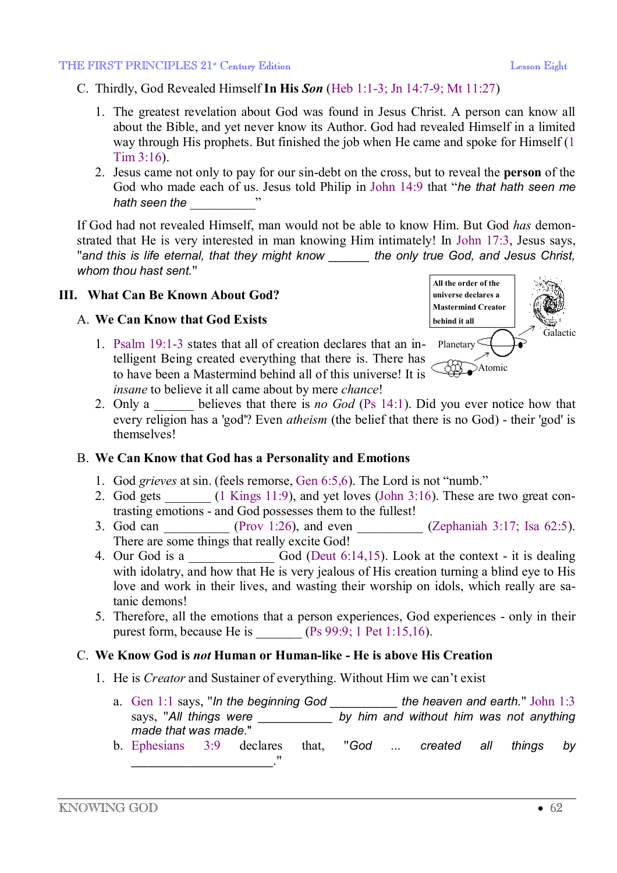- C. Thirdly, God Revealed Himself **In His** *Son* (Heb 1:1-3; Jn 14:7-9; Mt 11:27)
	- 1. The greatest revelation about God was found in Jesus Christ. A person can know all about the Bible, and yet never know its Author. God had revealed Himself in a limited way through His prophets. But finished the job when He came and spoke for Himself (1 Tim 3:16).
	- 2. Jesus came not only to pay for our sin-debt on the cross, but to reveal the **person** of the God who made each of us. Jesus told Philip in John 14:9 that "*he that hath seen me hath seen the* \_\_\_\_\_\_\_\_\_\_"

If God had not revealed Himself, man would not be able to know Him. But God *has* demonstrated that He is very interested in man knowing Him intimately! In John 17:3, Jesus says, "*and this is life eternal, that they might know \_\_\_\_\_\_ the only true God, and Jesus Christ, whom thou hast sent.*"

## **III. What Can Be Known About God?**

## A. **We Can Know that God Exists**

1. Psalm 19:1-3 states that all of creation declares that an in-Planetary telligent Being created everything that there is. There has to have been a Mastermind behind all of this universe! It is *insane* to believe it all came about by mere *chance*!



2. Only a believes that there is *no God* (Ps 14:1). Did you ever notice how that every religion has a 'god'? Even *atheism* (the belief that there is no God) - their 'god' is themselves!

## B. **We Can Know that God has a Personality and Emotions**

- 1. God *grieves* at sin. (feels remorse, Gen 6:5,6). The Lord is not "numb."
- 2. God gets (1 Kings 11:9), and yet loves (John 3:16). These are two great contrasting emotions - and God possesses them to the fullest!
- 3. God can  $(Prov 1:26)$ , and even  $(Zephant)$   $Zephant)$   $2.17$ ; Isa 62:5). There are some things that really excite God!
- 4. Our God is a God (Deut 6:14,15). Look at the context it is dealing with idolatry, and how that He is very jealous of His creation turning a blind eye to His love and work in their lives, and wasting their worship on idols, which really are satanic demons!
- 5. Therefore, all the emotions that a person experiences, God experiences only in their purest form, because He is  $(Ps 99:9; 1$  Pet  $1:15,16$ .

## C. **We Know God is** *not* **Human or Human-like - He is above His Creation**

- 1. He is *Creator* and Sustainer of everything. Without Him we can't exist
	- a. Gen 1:1 says, "*In the beginning God \_\_\_\_\_\_\_\_\_\_ the heaven and earth.*" John 1:3 says, "*All things were \_\_\_\_\_\_\_\_\_\_\_ by him and without him was not anything made that was made.*"
	- b. Ephesians 3:9 declares that, "*God ... created all things by*  \_\_\_\_\_\_\_\_\_\_\_\_\_\_\_\_\_\_\_\_\_."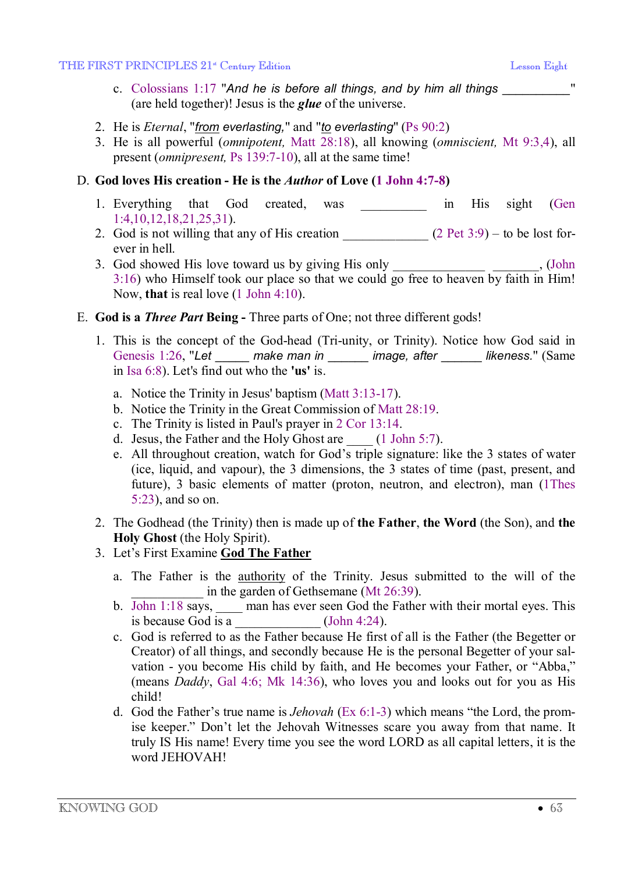#### THE FIRST PRINCIPLES 21<sup>st</sup> Century Edition Lesson Eight Lesson Eight

- c. Colossians 1:17 "*And he is before all things, and by him all things \_\_\_\_\_\_\_\_\_\_*" (are held together)! Jesus is the *glue* of the universe.
- 2. He is *Eternal*, "*from everlasting,*" and "*to everlasting*" (Ps 90:2)
- 3. He is all powerful (*omnipotent,* Matt 28:18), all knowing (*omniscient,* Mt 9:3,4), all present (*omnipresent,* Ps 139:7-10), all at the same time!

### D. **God loves His creation - He is the** *Author* **of Love (1 John 4:7-8)**

- 1. Everything that God created, was in His sight (Gen 1:4,10,12,18,21,25,31).
- 2. God is not willing that any of His creation  $(2 \text{ Pet } 3.9) -$  to be lost forever in hell.
- 3. God showed His love toward us by giving His only \_\_\_\_\_\_\_\_\_\_\_\_\_\_\_\_\_\_, (John 3:16) who Himself took our place so that we could go free to heaven by faith in Him! Now, **that** is real love (1 John 4:10).
- E. **God is a** *Three Part* **Being** Three parts of One; not three different gods!
	- 1. This is the concept of the God-head (Tri-unity, or Trinity). Notice how God said in Genesis 1:26, "*Let* \_\_\_\_\_ *make man in* \_\_\_\_\_\_ *image, after* \_\_\_\_\_\_ *likeness.*" (Same in Isa 6:8). Let's find out who the **'us'** is.
		- a. Notice the Trinity in Jesus' baptism (Matt 3:13-17).
		- b. Notice the Trinity in the Great Commission of Matt 28:19.
		- c. The Trinity is listed in Paul's prayer in 2 Cor 13:14.
		- d. Jesus, the Father and the Holy Ghost are (1 John 5:7).
		- e. All throughout creation, watch for God's triple signature: like the 3 states of water (ice, liquid, and vapour), the 3 dimensions, the 3 states of time (past, present, and future), 3 basic elements of matter (proton, neutron, and electron), man (1Thes 5:23), and so on.
	- 2. The Godhead (the Trinity) then is made up of **the Father**, **the Word** (the Son), and **the Holy Ghost** (the Holy Spirit).
	- 3. Let's First Examine **God The Father**
		- a. The Father is the authority of the Trinity. Jesus submitted to the will of the in the garden of Gethsemane (Mt 26:39).
		- b. John 1:18 says, man has ever seen God the Father with their mortal eyes. This is because God is a  $\frac{1}{2}$  (John 4:24).
		- c. God is referred to as the Father because He first of all is the Father (the Begetter or Creator) of all things, and secondly because He is the personal Begetter of your salvation - you become His child by faith, and He becomes your Father, or "Abba," (means *Daddy*, Gal 4:6; Mk 14:36), who loves you and looks out for you as His child!
		- d. God the Father's true name is *Jehovah* (Ex 6:1-3) which means "the Lord, the promise keeper." Don't let the Jehovah Witnesses scare you away from that name. It truly IS His name! Every time you see the word LORD as all capital letters, it is the word JEHOVAH!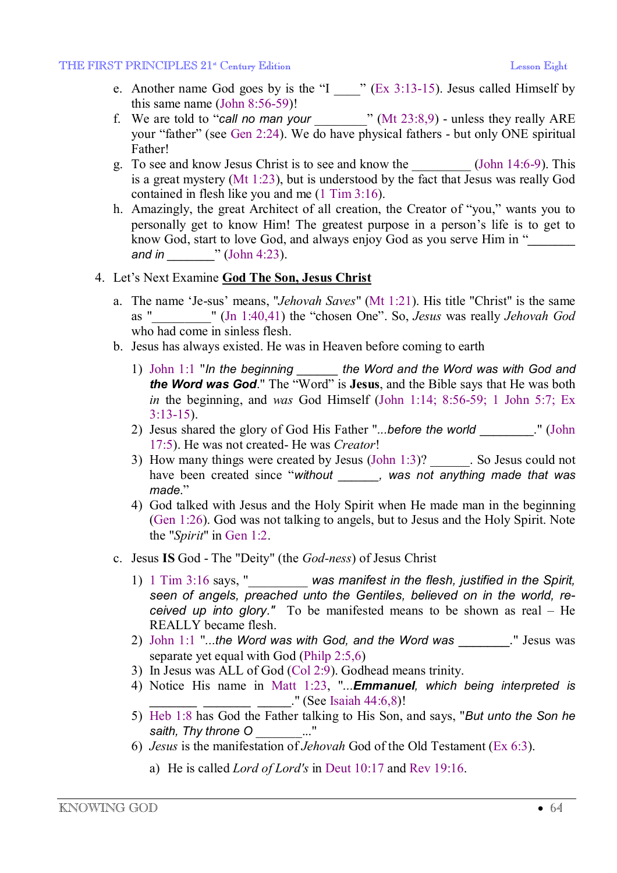- e. Another name God goes by is the "I  $\_\text{ex}$ " (Ex 3:13-15). Jesus called Himself by this same name (John 8:56-59)!
- f. We are told to "call no man your  $\cdots$  (Mt 23:8,9) unless they really ARE your "father" (see Gen 2:24). We do have physical fathers - but only ONE spiritual Father!
- g. To see and know Jesus Christ is to see and know the \_\_\_\_\_\_\_\_\_ (John 14:6-9). This is a great mystery (Mt 1:23), but is understood by the fact that Jesus was really God contained in flesh like you and me (1 Tim 3:16).
- h. Amazingly, the great Architect of all creation, the Creator of "you," wants you to personally get to know Him! The greatest purpose in a person's life is to get to know God, start to love God, and always enjoy God as you serve Him in "*\_\_\_\_\_\_\_ and in \_\_\_\_\_\_\_*" (John 4:23).

### 4. Let's Next Examine **God The Son, Jesus Christ**

- a. The name 'Je-sus' means, "*Jehovah Saves*" (Mt 1:21). His title "Christ" is the same as "*\_\_\_\_\_\_\_\_\_*" (Jn 1:40,41) the "chosen One". So, *Jesus* was really *Jehovah God* who had come in sinless flesh.
- b. Jesus has always existed. He was in Heaven before coming to earth
	- 1) John 1:1 "*In the beginning \_\_\_\_\_\_ the Word and the Word was with God and the Word was God*." The "Word" is **Jesus**, and the Bible says that He was both *in* the beginning, and *was* God Himself (John 1:14; 8:56-59; 1 John 5:7; Ex 3:13-15).
	- 2) Jesus shared the glory of God His Father "*...before the world* \_\_\_\_\_\_\_\_." (John 17:5). He was not created- He was *Creator*!
	- 3) How many things were created by Jesus (John 1:3)? So Jesus could not have been created since "*without \_\_\_\_\_\_, was not anything made that was made*."
	- 4) God talked with Jesus and the Holy Spirit when He made man in the beginning (Gen 1:26). God was not talking to angels, but to Jesus and the Holy Spirit. Note the "*Spirit*" in Gen 1:2.
- c. Jesus **IS** God The "Deity" (the *God-ness*) of Jesus Christ
	- 1) 1 Tim 3:16 says, "\_\_\_\_\_\_\_\_\_ *was manifest in the flesh, justified in the Spirit, seen of angels, preached unto the Gentiles, believed on in the world, received up into glory."* To be manifested means to be shown as real – He REALLY became flesh.
	- 2) John 1:1 "*...the Word was with God, and the Word was* \_\_\_\_\_\_\_." Jesus was separate yet equal with God (Philp 2:5,6)
	- 3) In Jesus was ALL of God (Col 2:9). Godhead means trinity.
	- 4) Notice His name in Matt 1:23, "*...Emmanuel, which being interpreted is*  $\frac{1}{\sqrt{1-\frac{1}{\sqrt{1-\frac{1}{\sqrt{1-\frac{1}{\sqrt{1-\frac{1}{\sqrt{1-\frac{1}{\sqrt{1-\frac{1}{\sqrt{1-\frac{1}{\sqrt{1-\frac{1}{\sqrt{1-\frac{1}{\sqrt{1-\frac{1}{\sqrt{1-\frac{1}{\sqrt{1-\frac{1}{\sqrt{1-\frac{1}{\sqrt{1-\frac{1}{\sqrt{1-\frac{1}{\sqrt{1-\frac{1}{\sqrt{1-\frac{1}{\sqrt{1-\frac{1}{\sqrt{1-\frac{1}{\sqrt{1-\frac{1}{\sqrt{1-\frac{1}{\sqrt{1-\frac{1}{\sqrt{1-\frac{1}{\sqrt{1-\frac{1$
	- 5) Heb 1:8 has God the Father talking to His Son, and says, "*But unto the Son he saith, Thy throne O* \_\_\_\_\_\_\_..."
	- 6) *Jesus* is the manifestation of *Jehovah* God of the Old Testament (Ex 6:3).
		- a) He is called *Lord of Lord's* in Deut 10:17 and Rev 19:16.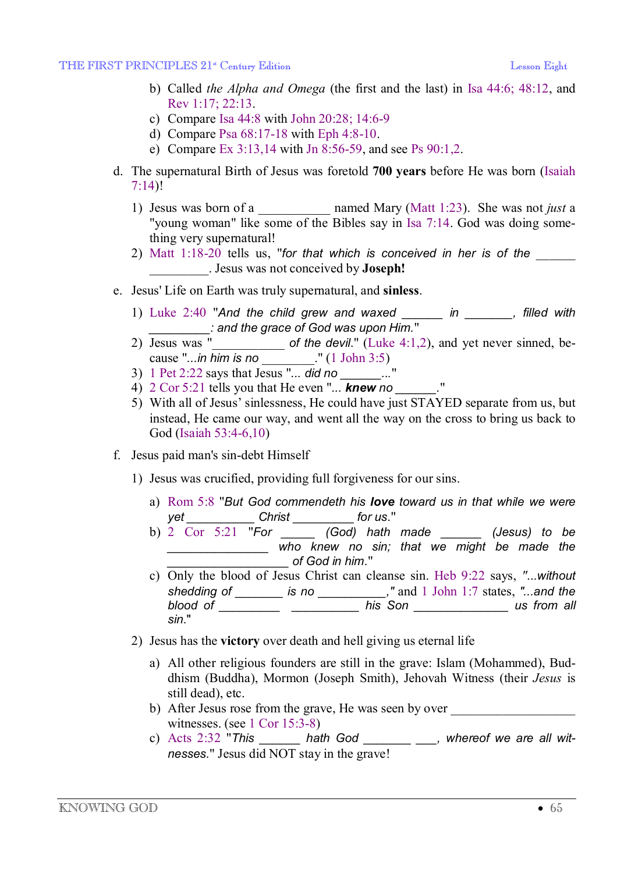- b) Called *the Alpha and Omega* (the first and the last) in Isa 44:6; 48:12, and Rev 1:17; 22:13.
- c) Compare Isa 44:8 with John 20:28; 14:6-9
- d) Compare Psa 68:17-18 with Eph 4:8-10.
- e) Compare Ex 3:13,14 with Jn 8:56-59, and see Ps 90:1,2.
- d. The supernatural Birth of Jesus was foretold **700 years** before He was born (Isaiah 7:14)!
	- 1) Jesus was born of a \_\_\_\_\_\_\_\_\_\_\_ named Mary (Matt 1:23). She was not *just* a "young woman" like some of the Bibles say in Isa 7:14. God was doing something very supernatural!
	- 2) Matt 1:18-20 tells us, "*for that which is conceived in her is of the* \_\_\_\_\_\_ \_\_\_\_\_\_\_\_\_. Jesus was not conceived by **Joseph!**
- e. Jesus' Life on Earth was truly supernatural, and **sinless**.
	- 1) Luke 2:40 "*And the child grew and waxed \_\_\_\_\_\_ in \_\_\_\_\_\_\_, filled with \_\_\_\_\_\_\_\_\_: and the grace of God was upon Him.*"
	- 2) Jesus was "\_\_\_\_\_\_\_\_\_\_\_ *of the devil*." (Luke 4:1,2), and yet never sinned, because "*...in him is no* \_\_\_\_\_\_\_\_." (1 John 3:5)
	- 3) 1 Pet 2:22 says that  $J_{\text{esus}}$  "... did no  $\ldots$ ..."
	- 4) 2 Cor 5:21 tells you that He even "*... knew no \_\_\_\_\_\_.*"
	- 5) With all of Jesus' sinlessness, He could have just STAYED separate from us, but instead, He came our way, and went all the way on the cross to bring us back to God (Isaiah 53:4-6,10)
- f. Jesus paid man's sin-debt Himself
	- 1) Jesus was crucified, providing full forgiveness for our sins.
		- a) Rom 5:8 "*But God commendeth his love toward us in that while we were yet \_\_\_\_\_\_\_\_\_\_ Christ* \_\_\_\_\_\_\_\_\_ *for us*."
		- b) 2 Cor 5:21 "*For \_\_\_\_\_ (God) hath made \_\_\_\_\_\_ (Jesus) to be \_\_\_\_\_\_\_\_\_\_\_\_\_\_\_ who knew no sin; that we might be made the \_\_\_\_\_\_\_\_\_\_\_\_\_\_\_\_\_\_ of God in him*."
		- c) Only the blood of Jesus Christ can cleanse sin. Heb 9:22 says, *"...without shedding of \_\_\_\_\_\_\_ is no \_\_\_\_\_\_\_\_\_\_,"* and 1 John 1:7 states, *"...and the blood of \_\_\_\_\_\_\_\_\_ \_\_\_\_\_\_\_\_\_\_ his Son \_\_\_\_\_\_\_\_\_\_\_\_\_\_ us from all sin*."
	- 2) Jesus has the **victory** over death and hell giving us eternal life
		- a) All other religious founders are still in the grave: Islam (Mohammed), Buddhism (Buddha), Mormon (Joseph Smith), Jehovah Witness (their *Jesus* is still dead), etc.
		- b) After Jesus rose from the grave, He was seen by over witnesses. (see 1 Cor 15:3-8)
		- c) Acts 2:32 "*This \_\_\_\_\_\_ hath God \_\_\_\_\_\_\_ \_\_\_, whereof we are all witnesses.*" Jesus did NOT stay in the grave!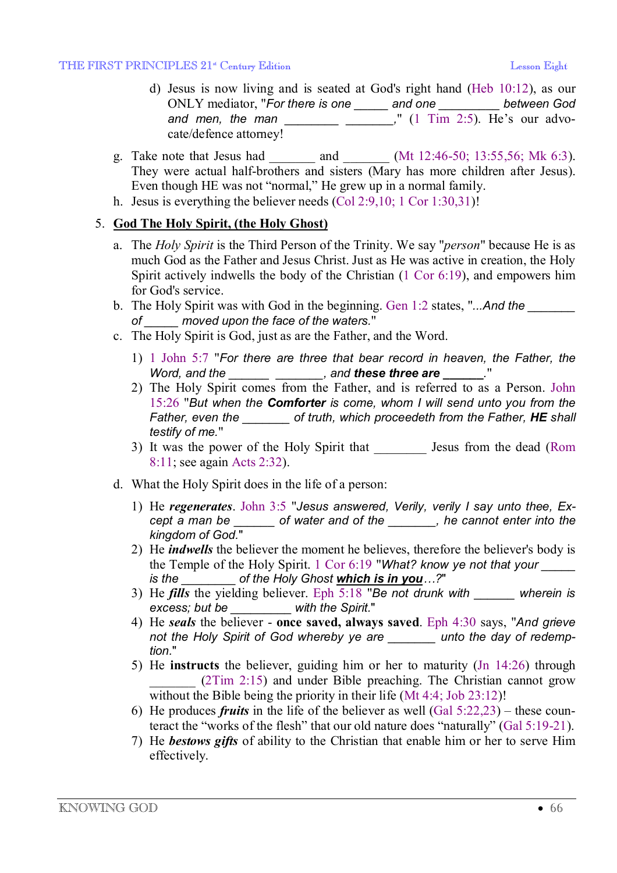- d) Jesus is now living and is seated at God's right hand (Heb 10:12), as our ONLY mediator, "*For there is one \_\_\_\_\_ and one \_\_\_\_\_\_\_\_\_ between God and men, the man \_\_\_\_\_\_\_\_ \_\_\_\_\_\_\_,*" (1 Tim 2:5). He's our advocate/defence attorney!
- g. Take note that Jesus had \_\_\_\_\_\_\_\_\_ and \_\_\_\_\_\_\_ (Mt 12:46-50; 13:55,56; Mk 6:3). They were actual half-brothers and sisters (Mary has more children after Jesus). Even though HE was not "normal," He grew up in a normal family.
- h. Jesus is everything the believer needs (Col 2:9,10; 1 Cor 1:30,31)!

## 5. **God The Holy Spirit, (the Holy Ghost)**

- a. The *Holy Spirit* is the Third Person of the Trinity. We say "*person*" because He is as much God as the Father and Jesus Christ. Just as He was active in creation, the Holy Spirit actively indwells the body of the Christian (1 Cor 6:19), and empowers him for God's service.
- b. The Holy Spirit was with God in the beginning. Gen 1:2 states, "*...And the \_\_\_\_\_\_\_ of \_\_\_\_\_ moved upon the face of the waters.*"
- c. The Holy Spirit is God, just as are the Father, and the Word.
	- 1) 1 John 5:7 "*For there are three that bear record in heaven, the Father, the Word, and the \_\_\_\_\_\_ \_\_\_\_\_\_\_, and these three are* **\_\_\_\_\_\_***.*"
	- 2) The Holy Spirit comes from the Father, and is referred to as a Person. John 15:26 "*But when the Comforter is come, whom I will send unto you from the Father, even the \_\_\_\_\_\_\_ of truth, which proceedeth from the Father, HE shall testify of me.*"
	- 3) It was the power of the Holy Spirit that Jesus from the dead (Rom 8:11; see again Acts 2:32).
- d. What the Holy Spirit does in the life of a person:
	- 1) He *regenerates*. John 3:5 "*Jesus answered, Verily, verily I say unto thee, Except a man be \_\_\_\_\_\_ of water and of the \_\_\_\_\_\_\_, he cannot enter into the kingdom of God.*"
	- 2) He *indwells* the believer the moment he believes, therefore the believer's body is the Temple of the Holy Spirit. 1 Cor 6:19 "*What? know ye not that your \_\_\_\_\_ is the \_\_\_\_\_\_\_\_ of the Holy Ghost which is in you…?*"
	- 3) He *fills* the yielding believer. Eph 5:18 "*Be not drunk with \_\_\_\_\_\_ wherein is excess; but be \_\_\_\_\_\_\_\_\_ with the Spirit.*"
	- 4) He *seals* the believer **once saved, always saved**. Eph 4:30 says, "*And grieve not the Holy Spirit of God whereby ye are \_\_\_\_\_\_\_ unto the day of redemption.*"
	- 5) He **instructs** the believer, guiding him or her to maturity (Jn 14:26) through  $(2Tim 2:15)$  and under Bible preaching. The Christian cannot grow without the Bible being the priority in their life (Mt 4:4; Job 23:12)!
	- 6) He produces *fruits* in the life of the believer as well (Gal 5:22,23) these counteract the "works of the flesh" that our old nature does "naturally" (Gal 5:19-21).
	- 7) He *bestows gifts* of ability to the Christian that enable him or her to serve Him effectively.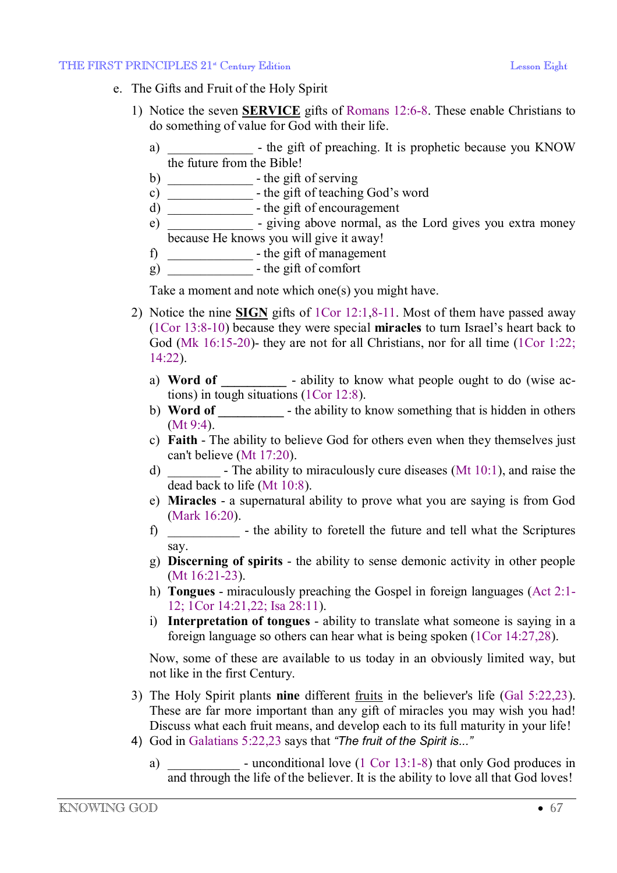#### THE FIRST PRINCIPLES  $21^*$  Century Edition Lesson Eight Lesson Eight

- e. The Gifts and Fruit of the Holy Spirit
	- 1) Notice the seven **SERVICE** gifts of Romans 12:6-8. These enable Christians to do something of value for God with their life.
		- a) b the gift of preaching. It is prophetic because you KNOW the future from the Bible!
		- b) the gift of serving
		- c)  $\frac{c}{c}$  the gift of teaching God's word
		- d)  $\frac{1}{\sqrt{1-\frac{1}{\sqrt{1-\frac{1}{\sqrt{1-\frac{1}{\sqrt{1-\frac{1}{\sqrt{1-\frac{1}{\sqrt{1-\frac{1}{\sqrt{1-\frac{1}{\sqrt{1-\frac{1}{\sqrt{1-\frac{1}{\sqrt{1-\frac{1}{\sqrt{1-\frac{1}{\sqrt{1-\frac{1}{\sqrt{1-\frac{1}{\sqrt{1-\frac{1}{\sqrt{1-\frac{1}{\sqrt{1-\frac{1}{\sqrt{1-\frac{1}{\sqrt{1-\frac{1}{\sqrt{1-\frac{1}{\sqrt{1-\frac{1}{\sqrt{1-\frac{1}{\sqrt{1-\frac{1}{\sqrt{1-\frac{1}{\sqrt{1-\$
		- e) \_\_\_\_\_\_\_\_\_\_\_\_\_\_\_\_ giving above normal, as the Lord gives you extra money because He knows you will give it away!
		- f) \_\_\_\_\_\_\_\_\_\_\_\_\_ the gift of management
		- $g)$   $\frac{1}{2}$  the gift of comfort

Take a moment and note which one(s) you might have.

- 2) Notice the nine **SIGN** gifts of 1Cor 12:1,8-11. Most of them have passed away (1Cor 13:8-10) because they were special **miracles** to turn Israel's heart back to God (Mk 16:15-20)- they are not for all Christians, nor for all time (1Cor 1:22; 14:22).
	- a) **Word of**  $\blacksquare$  ability to know what people ought to do (wise actions) in tough situations (1Cor 12:8).
	- b) **Word of \_\_\_\_\_\_\_\_\_\_** the ability to know something that is hidden in others (Mt 9:4).
	- c) **Faith** The ability to believe God for others even when they themselves just can't believe (Mt 17:20).
	- d) \_\_\_\_\_\_\_\_ The ability to miraculously cure diseases (Mt 10:1), and raise the dead back to life (Mt 10:8).
	- e) **Miracles** a supernatural ability to prove what you are saying is from God (Mark 16:20).
	- f) \_\_\_\_\_\_\_\_\_\_\_ the ability to foretell the future and tell what the Scriptures say.
	- g) **Discerning of spirits** the ability to sense demonic activity in other people (Mt 16:21-23).
	- h) **Tongues**  miraculously preaching the Gospel in foreign languages (Act 2:1- 12; 1Cor 14:21,22; Isa 28:11).
	- i) **Interpretation of tongues** ability to translate what someone is saying in a foreign language so others can hear what is being spoken (1Cor 14:27,28).

Now, some of these are available to us today in an obviously limited way, but not like in the first Century.

- 3) The Holy Spirit plants **nine** different fruits in the believer's life (Gal 5:22,23). These are far more important than any gift of miracles you may wish you had! Discuss what each fruit means, and develop each to its full maturity in your life!
- 4) God in Galatians 5:22,23 says that *"The fruit of the Spirit is..."*
	- a) unconditional love (1 Cor 13:1-8) that only God produces in and through the life of the believer. It is the ability to love all that God loves!